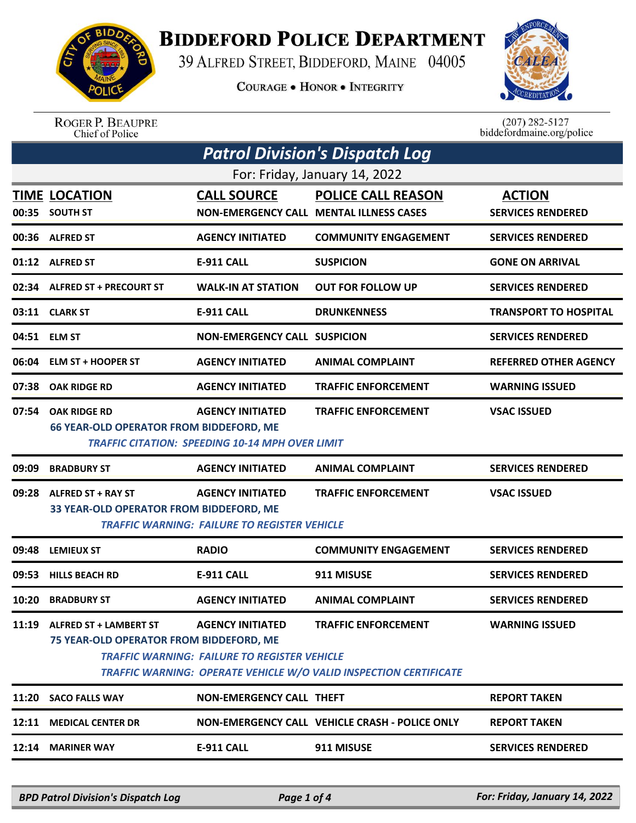

## **BIDDEFORD POLICE DEPARTMENT**

39 ALFRED STREET, BIDDEFORD, MAINE 04005

**COURAGE . HONOR . INTEGRITY** 



ROGER P. BEAUPRE<br>Chief of Police

 $(207)$  282-5127<br>biddefordmaine.org/police

| <b>Patrol Division's Dispatch Log</b> |                                                                         |                                                                                   |                                                                                                 |                                           |  |  |  |  |
|---------------------------------------|-------------------------------------------------------------------------|-----------------------------------------------------------------------------------|-------------------------------------------------------------------------------------------------|-------------------------------------------|--|--|--|--|
| For: Friday, January 14, 2022         |                                                                         |                                                                                   |                                                                                                 |                                           |  |  |  |  |
|                                       | <b>TIME LOCATION</b><br>00:35 SOUTH ST                                  | <b>CALL SOURCE</b>                                                                | <b>POLICE CALL REASON</b><br><b>NON-EMERGENCY CALL MENTAL ILLNESS CASES</b>                     | <b>ACTION</b><br><b>SERVICES RENDERED</b> |  |  |  |  |
|                                       | 00:36 ALFRED ST                                                         | <b>AGENCY INITIATED</b>                                                           | <b>COMMUNITY ENGAGEMENT</b>                                                                     | <b>SERVICES RENDERED</b>                  |  |  |  |  |
|                                       | 01:12 ALFRED ST                                                         | <b>E-911 CALL</b>                                                                 | <b>SUSPICION</b>                                                                                | <b>GONE ON ARRIVAL</b>                    |  |  |  |  |
|                                       | 02:34 ALFRED ST + PRECOURT ST                                           | <b>WALK-IN AT STATION</b>                                                         | <b>OUT FOR FOLLOW UP</b>                                                                        | <b>SERVICES RENDERED</b>                  |  |  |  |  |
|                                       | 03:11 CLARK ST                                                          | <b>E-911 CALL</b>                                                                 | <b>DRUNKENNESS</b>                                                                              | <b>TRANSPORT TO HOSPITAL</b>              |  |  |  |  |
|                                       | 04:51 ELM ST                                                            | <b>NON-EMERGENCY CALL SUSPICION</b>                                               |                                                                                                 | <b>SERVICES RENDERED</b>                  |  |  |  |  |
| 06:04                                 | <b>ELM ST + HOOPER ST</b>                                               | <b>AGENCY INITIATED</b>                                                           | <b>ANIMAL COMPLAINT</b>                                                                         | <b>REFERRED OTHER AGENCY</b>              |  |  |  |  |
| 07:38                                 | <b>OAK RIDGE RD</b>                                                     | <b>AGENCY INITIATED</b>                                                           | <b>TRAFFIC ENFORCEMENT</b>                                                                      | <b>WARNING ISSUED</b>                     |  |  |  |  |
| 07:54                                 | <b>OAK RIDGE RD</b><br><b>66 YEAR-OLD OPERATOR FROM BIDDEFORD, ME</b>   | <b>AGENCY INITIATED</b><br><b>TRAFFIC CITATION: SPEEDING 10-14 MPH OVER LIMIT</b> | <b>TRAFFIC ENFORCEMENT</b>                                                                      | <b>VSAC ISSUED</b>                        |  |  |  |  |
| 09:09                                 | <b>BRADBURY ST</b>                                                      | <b>AGENCY INITIATED</b>                                                           | <b>ANIMAL COMPLAINT</b>                                                                         | <b>SERVICES RENDERED</b>                  |  |  |  |  |
| 09:28                                 | <b>ALFRED ST + RAY ST</b><br>33 YEAR-OLD OPERATOR FROM BIDDEFORD, ME    | <b>AGENCY INITIATED</b><br>TRAFFIC WARNING:  FAILURE TO REGISTER VEHICLE          | <b>TRAFFIC ENFORCEMENT</b>                                                                      | <b>VSAC ISSUED</b>                        |  |  |  |  |
| 09:48                                 | <b>LEMIEUX ST</b>                                                       | <b>RADIO</b>                                                                      | <b>COMMUNITY ENGAGEMENT</b>                                                                     | <b>SERVICES RENDERED</b>                  |  |  |  |  |
| 09:53                                 | <b>HILLS BEACH RD</b>                                                   | <b>E-911 CALL</b>                                                                 | 911 MISUSE                                                                                      | <b>SERVICES RENDERED</b>                  |  |  |  |  |
| 10:20                                 | <b>BRADBURY ST</b>                                                      | <b>AGENCY INITIATED</b>                                                           | <b>ANIMAL COMPLAINT</b>                                                                         | <b>SERVICES RENDERED</b>                  |  |  |  |  |
|                                       | 11:19 ALFRED ST + LAMBERT ST<br>75 YEAR-OLD OPERATOR FROM BIDDEFORD, ME | <b>AGENCY INITIATED</b><br><b>TRAFFIC WARNING: FAILURE TO REGISTER VEHICLE</b>    | <b>TRAFFIC ENFORCEMENT</b><br>TRAFFIC WARNING: OPERATE VEHICLE W/O VALID INSPECTION CERTIFICATE | <b>WARNING ISSUED</b>                     |  |  |  |  |
|                                       | 11:20 SACO FALLS WAY                                                    | NON-EMERGENCY CALL THEFT                                                          |                                                                                                 | <b>REPORT TAKEN</b>                       |  |  |  |  |
|                                       | 12:11 MEDICAL CENTER DR                                                 |                                                                                   | NON-EMERGENCY CALL VEHICLE CRASH - POLICE ONLY                                                  | <b>REPORT TAKEN</b>                       |  |  |  |  |
|                                       | 12:14 MARINER WAY                                                       | E-911 CALL                                                                        | 911 MISUSE                                                                                      | <b>SERVICES RENDERED</b>                  |  |  |  |  |
|                                       |                                                                         |                                                                                   |                                                                                                 |                                           |  |  |  |  |

*BPD Patrol Division's Dispatch Log Page 1 of 4 For: Friday, January 14, 2022*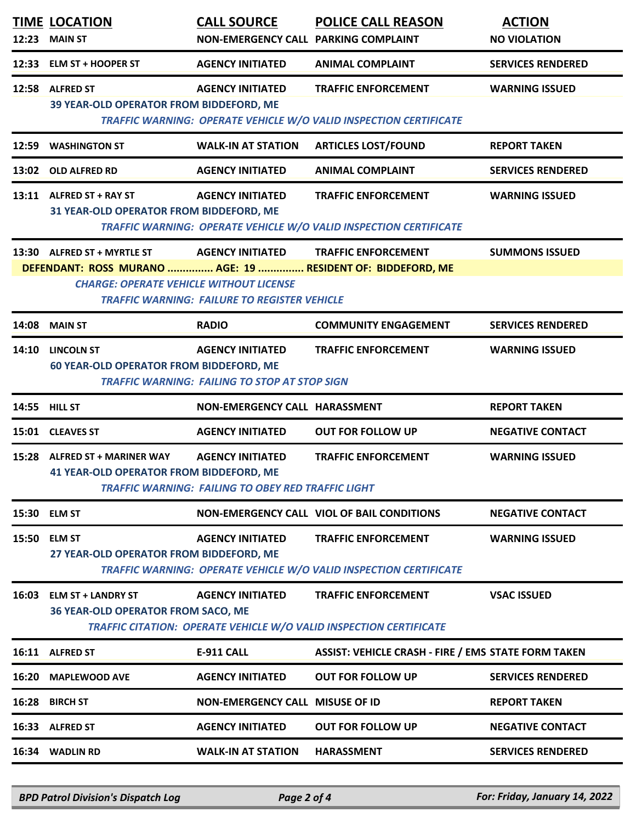| 12:23 | <b>TIME LOCATION</b><br><b>MAIN ST</b>                                                                        | <b>CALL SOURCE</b><br>NON-EMERGENCY CALL PARKING COMPLAINT                           | <b>POLICE CALL REASON</b>                                                                        | <b>ACTION</b><br><b>NO VIOLATION</b> |
|-------|---------------------------------------------------------------------------------------------------------------|--------------------------------------------------------------------------------------|--------------------------------------------------------------------------------------------------|--------------------------------------|
|       | 12:33 ELM ST + HOOPER ST                                                                                      | <b>AGENCY INITIATED</b>                                                              | <b>ANIMAL COMPLAINT</b>                                                                          | <b>SERVICES RENDERED</b>             |
|       | 12:58 ALFRED ST<br>39 YEAR-OLD OPERATOR FROM BIDDEFORD, ME                                                    | <b>AGENCY INITIATED</b>                                                              | <b>TRAFFIC ENFORCEMENT</b><br>TRAFFIC WARNING: OPERATE VEHICLE W/O VALID INSPECTION CERTIFICATE  | <b>WARNING ISSUED</b>                |
|       | 12:59 WASHINGTON ST                                                                                           | <b>WALK-IN AT STATION</b>                                                            | <b>ARTICLES LOST/FOUND</b>                                                                       | <b>REPORT TAKEN</b>                  |
|       | 13:02 OLD ALFRED RD                                                                                           | <b>AGENCY INITIATED</b>                                                              | <b>ANIMAL COMPLAINT</b>                                                                          | <b>SERVICES RENDERED</b>             |
|       | 13:11 ALFRED ST + RAY ST<br>31 YEAR-OLD OPERATOR FROM BIDDEFORD, ME                                           | <b>AGENCY INITIATED</b>                                                              | <b>TRAFFIC ENFORCEMENT</b><br>TRAFFIC WARNING: OPERATE VEHICLE W/O VALID INSPECTION CERTIFICATE  | <b>WARNING ISSUED</b>                |
|       | 13:30 ALFRED ST + MYRTLE ST                                                                                   | <b>AGENCY INITIATED</b>                                                              | <b>TRAFFIC ENFORCEMENT</b>                                                                       | <b>SUMMONS ISSUED</b>                |
|       | DEFENDANT: ROSS MURANO  AGE: 19  RESIDENT OF: BIDDEFORD, ME<br><b>CHARGE: OPERATE VEHICLE WITHOUT LICENSE</b> | <b>TRAFFIC WARNING: FAILURE TO REGISTER VEHICLE</b>                                  |                                                                                                  |                                      |
| 14:08 | <b>MAIN ST</b>                                                                                                | <b>RADIO</b>                                                                         | <b>COMMUNITY ENGAGEMENT</b>                                                                      | <b>SERVICES RENDERED</b>             |
|       | 14:10 LINCOLN ST<br><b>60 YEAR-OLD OPERATOR FROM BIDDEFORD, ME</b>                                            | <b>AGENCY INITIATED</b><br><b>TRAFFIC WARNING: FAILING TO STOP AT STOP SIGN</b>      | <b>TRAFFIC ENFORCEMENT</b>                                                                       | <b>WARNING ISSUED</b>                |
|       | <b>14:55 HILL ST</b>                                                                                          | NON-EMERGENCY CALL HARASSMENT                                                        |                                                                                                  | <b>REPORT TAKEN</b>                  |
|       | 15:01 CLEAVES ST                                                                                              | <b>AGENCY INITIATED</b>                                                              | <b>OUT FOR FOLLOW UP</b>                                                                         | <b>NEGATIVE CONTACT</b>              |
| 15:28 | <b>ALFRED ST + MARINER WAY</b><br><b>41 YEAR-OLD OPERATOR FROM BIDDEFORD, ME</b>                              | <b>AGENCY INITIATED</b><br><b>TRAFFIC WARNING: FAILING TO OBEY RED TRAFFIC LIGHT</b> | <b>TRAFFIC ENFORCEMENT</b>                                                                       | <b>WARNING ISSUED</b>                |
|       | 15:30 ELM ST                                                                                                  |                                                                                      | NON-EMERGENCY CALL VIOL OF BAIL CONDITIONS                                                       | <b>NEGATIVE CONTACT</b>              |
|       | 15:50 ELM ST<br>27 YEAR-OLD OPERATOR FROM BIDDEFORD, ME                                                       | <b>AGENCY INITIATED</b>                                                              | <b>TRAFFIC ENFORCEMENT</b><br>TRAFFIC WARNING: OPERATE VEHICLE W/O VALID INSPECTION CERTIFICATE  | <b>WARNING ISSUED</b>                |
|       | 16:03 ELM ST + LANDRY ST<br><b>36 YEAR-OLD OPERATOR FROM SACO, ME</b>                                         | <b>AGENCY INITIATED</b>                                                              | <b>TRAFFIC ENFORCEMENT</b><br>TRAFFIC CITATION: OPERATE VEHICLE W/O VALID INSPECTION CERTIFICATE | <b>VSAC ISSUED</b>                   |
|       | 16:11 ALFRED ST                                                                                               | <b>E-911 CALL</b>                                                                    | <b>ASSIST: VEHICLE CRASH - FIRE / EMS STATE FORM TAKEN</b>                                       |                                      |
| 16:20 | <b>MAPLEWOOD AVE</b>                                                                                          | <b>AGENCY INITIATED</b>                                                              | <b>OUT FOR FOLLOW UP</b>                                                                         | <b>SERVICES RENDERED</b>             |
| 16:28 | <b>BIRCH ST</b>                                                                                               | <b>NON-EMERGENCY CALL MISUSE OF ID</b>                                               |                                                                                                  | <b>REPORT TAKEN</b>                  |
|       | 16:33 ALFRED ST                                                                                               | <b>AGENCY INITIATED</b>                                                              | <b>OUT FOR FOLLOW UP</b>                                                                         | <b>NEGATIVE CONTACT</b>              |
|       | 16:34 WADLIN RD                                                                                               | <b>WALK-IN AT STATION</b>                                                            | <b>HARASSMENT</b>                                                                                | <b>SERVICES RENDERED</b>             |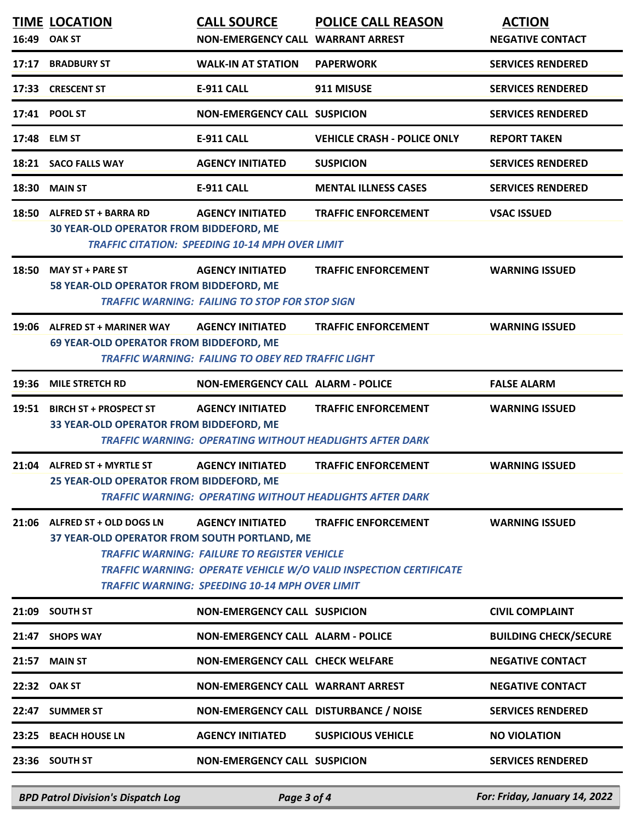| 16:49 | <b>TIME LOCATION</b><br><b>OAK ST</b>                                         | <b>CALL SOURCE</b><br>NON-EMERGENCY CALL WARRANT ARREST                                                                                 | <b>POLICE CALL REASON</b>                                                                       | <b>ACTION</b><br><b>NEGATIVE CONTACT</b> |
|-------|-------------------------------------------------------------------------------|-----------------------------------------------------------------------------------------------------------------------------------------|-------------------------------------------------------------------------------------------------|------------------------------------------|
| 17:17 | <b>BRADBURY ST</b>                                                            | <b>WALK-IN AT STATION</b>                                                                                                               | <b>PAPERWORK</b>                                                                                | <b>SERVICES RENDERED</b>                 |
| 17:33 | <b>CRESCENT ST</b>                                                            | <b>E-911 CALL</b>                                                                                                                       | 911 MISUSE                                                                                      | <b>SERVICES RENDERED</b>                 |
| 17:41 | <b>POOL ST</b>                                                                | <b>NON-EMERGENCY CALL SUSPICION</b>                                                                                                     |                                                                                                 | <b>SERVICES RENDERED</b>                 |
| 17:48 | <b>ELM ST</b>                                                                 | <b>E-911 CALL</b>                                                                                                                       | <b>VEHICLE CRASH - POLICE ONLY</b>                                                              | <b>REPORT TAKEN</b>                      |
| 18:21 | <b>SACO FALLS WAY</b>                                                         | <b>AGENCY INITIATED</b>                                                                                                                 | <b>SUSPICION</b>                                                                                | <b>SERVICES RENDERED</b>                 |
| 18:30 | <b>MAIN ST</b>                                                                | <b>E-911 CALL</b>                                                                                                                       | <b>MENTAL ILLNESS CASES</b>                                                                     | <b>SERVICES RENDERED</b>                 |
| 18:50 | <b>ALFRED ST + BARRA RD</b><br>30 YEAR-OLD OPERATOR FROM BIDDEFORD, ME        | <b>AGENCY INITIATED</b><br><b>TRAFFIC CITATION: SPEEDING 10-14 MPH OVER LIMIT</b>                                                       | <b>TRAFFIC ENFORCEMENT</b>                                                                      | <b>VSAC ISSUED</b>                       |
| 18:50 | <b>MAY ST + PARE ST</b><br>58 YEAR-OLD OPERATOR FROM BIDDEFORD, ME            | <b>AGENCY INITIATED</b><br><b>TRAFFIC WARNING: FAILING TO STOP FOR STOP SIGN</b>                                                        | <b>TRAFFIC ENFORCEMENT</b>                                                                      | <b>WARNING ISSUED</b>                    |
| 19:06 | <b>ALFRED ST + MARINER WAY</b><br>69 YEAR-OLD OPERATOR FROM BIDDEFORD, ME     | <b>AGENCY INITIATED</b><br><b>TRAFFIC WARNING: FAILING TO OBEY RED TRAFFIC LIGHT</b>                                                    | <b>TRAFFIC ENFORCEMENT</b>                                                                      | <b>WARNING ISSUED</b>                    |
| 19:36 | <b>MILE STRETCH RD</b>                                                        | <b>NON-EMERGENCY CALL ALARM - POLICE</b>                                                                                                |                                                                                                 | <b>FALSE ALARM</b>                       |
| 19:51 | <b>BIRCH ST + PROSPECT ST</b><br>33 YEAR-OLD OPERATOR FROM BIDDEFORD, ME      | <b>AGENCY INITIATED</b>                                                                                                                 | <b>TRAFFIC ENFORCEMENT</b><br><b>TRAFFIC WARNING: OPERATING WITHOUT HEADLIGHTS AFTER DARK</b>   | <b>WARNING ISSUED</b>                    |
|       | 21:04 ALFRED ST + MYRTLE ST<br>25 YEAR-OLD OPERATOR FROM BIDDEFORD, ME        | <b>AGENCY INITIATED</b>                                                                                                                 | <b>TRAFFIC ENFORCEMENT</b><br><b>TRAFFIC WARNING: OPERATING WITHOUT HEADLIGHTS AFTER DARK</b>   | <b>WARNING ISSUED</b>                    |
|       | 21:06 ALFRED ST + OLD DOGS LN<br>37 YEAR-OLD OPERATOR FROM SOUTH PORTLAND, ME | <b>AGENCY INITIATED</b><br><b>TRAFFIC WARNING: FAILURE TO REGISTER VEHICLE</b><br><b>TRAFFIC WARNING: SPEEDING 10-14 MPH OVER LIMIT</b> | <b>TRAFFIC ENFORCEMENT</b><br>TRAFFIC WARNING: OPERATE VEHICLE W/O VALID INSPECTION CERTIFICATE | <b>WARNING ISSUED</b>                    |
|       | 21:09 SOUTH ST                                                                | <b>NON-EMERGENCY CALL SUSPICION</b>                                                                                                     |                                                                                                 | <b>CIVIL COMPLAINT</b>                   |
|       | 21:47 SHOPS WAY                                                               | <b>NON-EMERGENCY CALL ALARM - POLICE</b>                                                                                                |                                                                                                 | <b>BUILDING CHECK/SECURE</b>             |
| 21:57 | <b>MAIN ST</b>                                                                | <b>NON-EMERGENCY CALL CHECK WELFARE</b>                                                                                                 |                                                                                                 | <b>NEGATIVE CONTACT</b>                  |
|       | 22:32 OAK ST                                                                  | NON-EMERGENCY CALL WARRANT ARREST                                                                                                       |                                                                                                 | <b>NEGATIVE CONTACT</b>                  |
|       | 22:47 SUMMER ST                                                               | NON-EMERGENCY CALL DISTURBANCE / NOISE                                                                                                  |                                                                                                 | <b>SERVICES RENDERED</b>                 |
|       | 23:25 BEACH HOUSE LN                                                          | <b>AGENCY INITIATED</b>                                                                                                                 | <b>SUSPICIOUS VEHICLE</b>                                                                       | <b>NO VIOLATION</b>                      |
|       | 23:36 SOUTH ST                                                                | <b>NON-EMERGENCY CALL SUSPICION</b>                                                                                                     |                                                                                                 | <b>SERVICES RENDERED</b>                 |

*BPD Patrol Division's Dispatch Log Page 3 of 4 For: Friday, January 14, 2022*